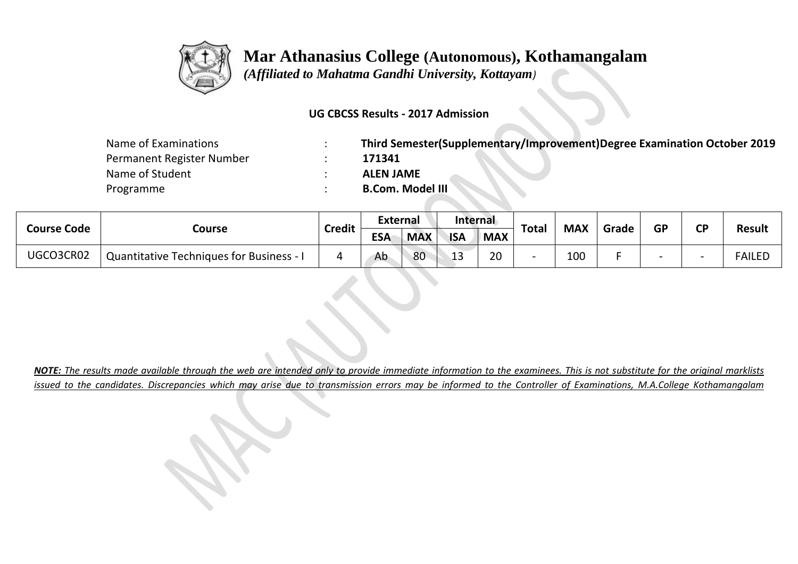

 *(Affiliated to Mahatma Gandhi University, Kottayam)*

### **UG CBCSS Results - 2017 Admission**

| Name of Examinations      | Third Semester(Supplementary/Improvement)Degree Examination October 2019 |
|---------------------------|--------------------------------------------------------------------------|
| Permanent Register Number | 171341                                                                   |
| Name of Student           | <b>ALEN JAME</b>                                                         |
| Programme                 | <b>B.Com. Model III</b>                                                  |

| <b>Course Code</b> |                                                 | <b>Credit</b> | External   |            | Internal   |            | <b>Total</b> | <b>MAX</b> | Grade | <b>GP</b> | σD | <b>Result</b> |
|--------------------|-------------------------------------------------|---------------|------------|------------|------------|------------|--------------|------------|-------|-----------|----|---------------|
|                    | Course                                          |               | <b>ESA</b> | <b>MAX</b> | <b>ISA</b> | <b>MAX</b> |              |            |       |           |    |               |
| UGCO3CR02          | <b>Quantitative Techniques for Business - I</b> |               | Ab         | 80         | 1.<br>13   | 20         |              | 100        |       |           |    | FAILED        |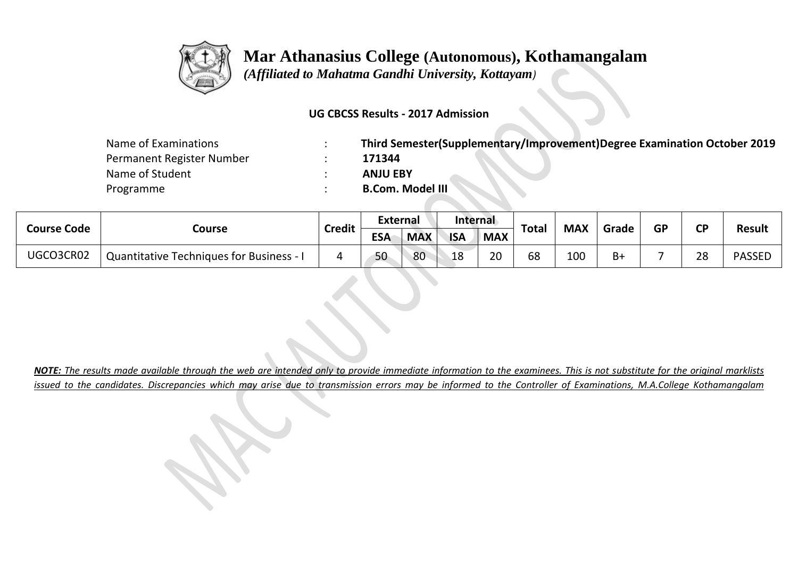

 *(Affiliated to Mahatma Gandhi University, Kottayam)*

### **UG CBCSS Results - 2017 Admission**

| Name of Examinations      | Third Semester(Supplementary/Improvement)Degree Examination October 2019 |
|---------------------------|--------------------------------------------------------------------------|
| Permanent Register Number | 171344                                                                   |
| Name of Student           | <b>ANJU EBY</b>                                                          |
| Programme                 | <b>B.Com. Model III</b>                                                  |

| <b>Course Code</b> |                                                 | <b>Credit</b> | <b>External</b> |            | Internal   |            |       | <b>MAX</b> | Grade | <b>GP</b> | <b>CD</b> | <b>Result</b> |
|--------------------|-------------------------------------------------|---------------|-----------------|------------|------------|------------|-------|------------|-------|-----------|-----------|---------------|
|                    | Course                                          |               | <b>ESA</b>      | <b>MAX</b> | <b>ISA</b> | <b>MAX</b> | Total |            |       |           |           |               |
| UGCO3CR02          | <b>Quantitative Techniques for Business - I</b> |               | 50              | 80         | 18         | 20         | 68    | 100        | B+    |           | 28        | <b>PASSED</b> |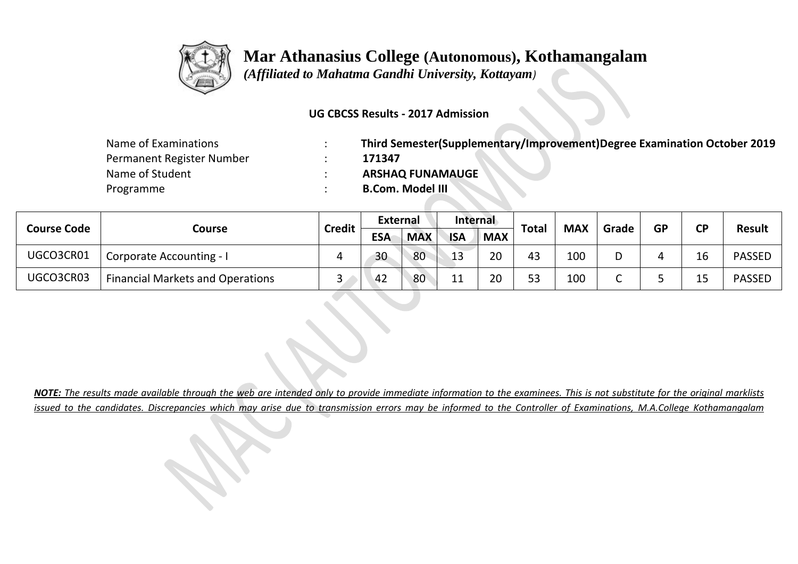

 *(Affiliated to Mahatma Gandhi University, Kottayam)*

### **UG CBCSS Results - 2017 Admission**

| Name of Examinations      | Third Semester(Supplementary/Improvement)Degree Examination October 2019 |
|---------------------------|--------------------------------------------------------------------------|
| Permanent Register Number | 171347                                                                   |
| Name of Student           | <b>ARSHAQ FUNAMAUGE</b>                                                  |
| Programme                 | <b>B.Com. Model III</b>                                                  |

| <b>Course Code</b> |                                         | <b>Credit</b> | <b>External</b> |            | Internal   |            | <b>Total</b> | <b>MAX</b> | Grade | <b>GP</b> | ΓD | <b>Result</b> |
|--------------------|-----------------------------------------|---------------|-----------------|------------|------------|------------|--------------|------------|-------|-----------|----|---------------|
|                    | Course                                  |               | <b>ESA</b>      | <b>MAX</b> | <b>ISA</b> | <b>MAX</b> |              |            |       |           |    |               |
| UGCO3CR01          | Corporate Accounting - I                |               | 30              | 80         | 13         | 20         | 43           | 100        |       |           |    | <b>PASSED</b> |
| UGCO3CR03          | <b>Financial Markets and Operations</b> | ັ             | 42              | 80         | 11         | 20         | 53           | 100        |       |           |    | <b>PASSED</b> |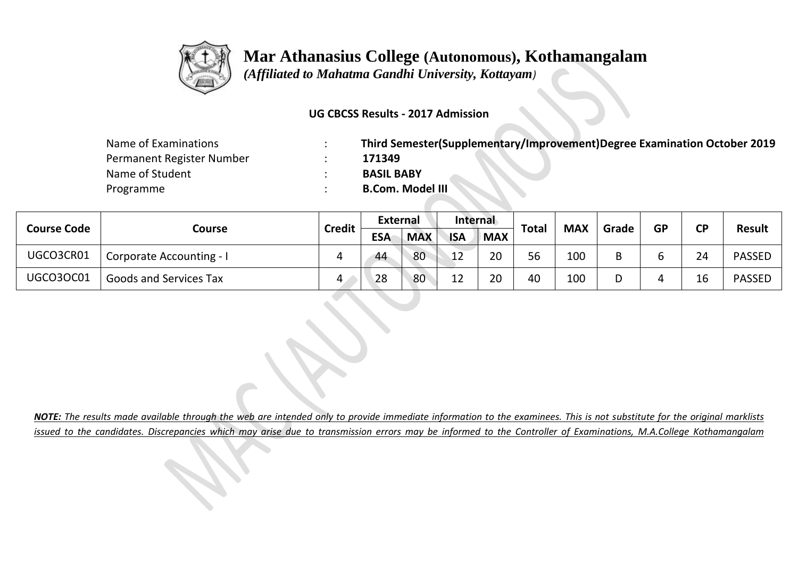

 *(Affiliated to Mahatma Gandhi University, Kottayam)*

### **UG CBCSS Results - 2017 Admission**

| Name of Examinations      | Third Semester(Supplementary/Improvement)Degree Examination October 2019 |
|---------------------------|--------------------------------------------------------------------------|
| Permanent Register Number | 171349                                                                   |
| Name of Student           | <b>BASIL BABY</b>                                                        |
| Programme                 | <b>B.Com. Model III</b>                                                  |

| <b>Course Code</b> | Course                        | <b>Credit</b> | <b>External</b> |            | Internal   |            | <b>Total</b> | <b>MAX</b> |       | <b>GP</b> | <b>CD</b> | <b>Result</b> |
|--------------------|-------------------------------|---------------|-----------------|------------|------------|------------|--------------|------------|-------|-----------|-----------|---------------|
|                    |                               |               | <b>ESA</b>      | <b>MAX</b> | <b>ISA</b> | <b>MAX</b> |              |            | Grade |           |           |               |
| UGCO3CR01          | Corporate Accounting - I      |               | 44              | 80         | 12         | 20         | 56           | 100        |       |           | 24        | <b>PASSED</b> |
| <b>UGCO3OC01</b>   | <b>Goods and Services Tax</b> | 4             | 28              | 80         |            | 20         | 40           | 100        |       |           |           | <b>PASSED</b> |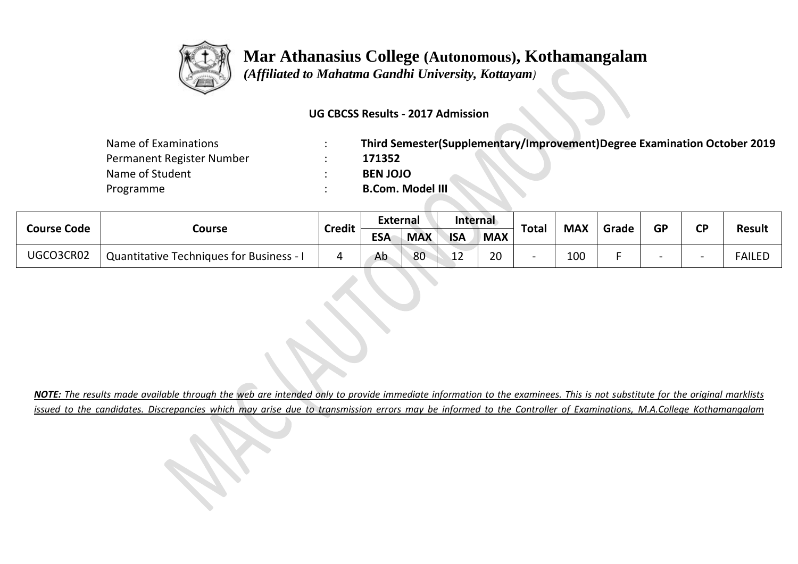

 *(Affiliated to Mahatma Gandhi University, Kottayam)*

### **UG CBCSS Results - 2017 Admission**

| Name of Examinations      | Third Semester(Supplementary/Improvement)Degree Examination October 2019 |
|---------------------------|--------------------------------------------------------------------------|
| Permanent Register Number | 171352                                                                   |
| Name of Student           | <b>BEN JOJO</b>                                                          |
| Programme                 | <b>B.Com. Model III</b>                                                  |

| <b>Course Code</b> |                                                 | <b>Credit</b> | External   |            | Internal     |            |       | <b>MAX</b> | Grade | <b>GP</b> | <b>CD</b> | <b>Result</b> |
|--------------------|-------------------------------------------------|---------------|------------|------------|--------------|------------|-------|------------|-------|-----------|-----------|---------------|
|                    | Course                                          |               | <b>ESA</b> | <b>MAX</b> | <b>ISA</b>   | <b>MAX</b> | Total |            |       |           |           |               |
| UGCO3CR02          | <b>Quantitative Techniques for Business - I</b> |               | Ab         | 80         | $\sim$<br>ᅩᄼ | 20         |       | 100        |       |           |           | <b>FAILED</b> |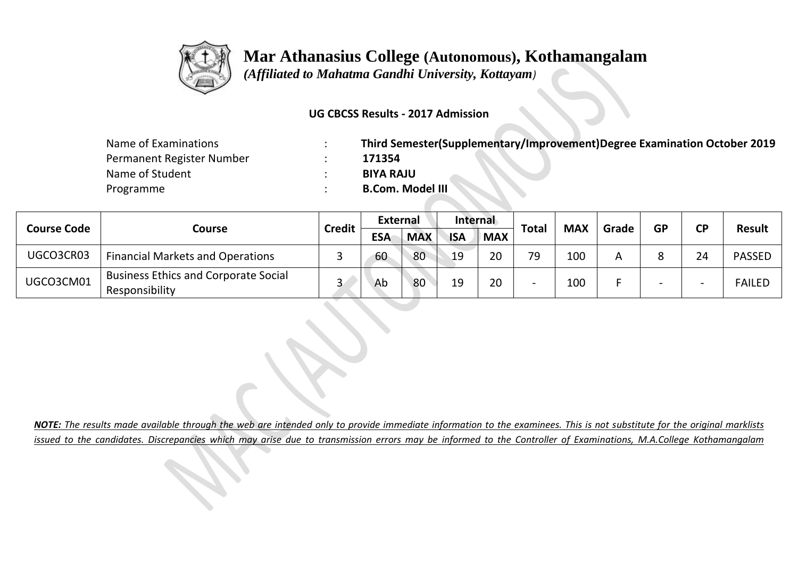

 *(Affiliated to Mahatma Gandhi University, Kottayam)*

### **UG CBCSS Results - 2017 Admission**

| Name of Examinations      | Third Semester(Supplementary/Improvement)Degree Examination October 2019 |
|---------------------------|--------------------------------------------------------------------------|
| Permanent Register Number | 171354                                                                   |
| Name of Student           | <b>BIYA RAJU</b>                                                         |
| Programme                 | <b>B.Com. Model III</b>                                                  |

| <b>Course Code</b> |                                                               | <b>Credit</b> | <b>External</b> |            | Internal   |            | <b>Total</b>             | <b>MAX</b> | Grade | <b>GP</b> | CD <sup>-</sup> | <b>Result</b> |
|--------------------|---------------------------------------------------------------|---------------|-----------------|------------|------------|------------|--------------------------|------------|-------|-----------|-----------------|---------------|
|                    | Course                                                        |               | <b>ESA</b>      | <b>MAX</b> | <b>ISA</b> | <b>MAX</b> |                          |            |       |           |                 |               |
| UGCO3CR03          | <b>Financial Markets and Operations</b>                       |               | 60              | 80         | 19         | 20         | 79                       | 100        |       |           | 21              | <b>PASSED</b> |
| UGCO3CM01          | <b>Business Ethics and Corporate Social</b><br>Responsibility |               | Ab              | 80         | 19         | 20         | $\overline{\phantom{0}}$ | 100        |       |           |                 | <b>FAILED</b> |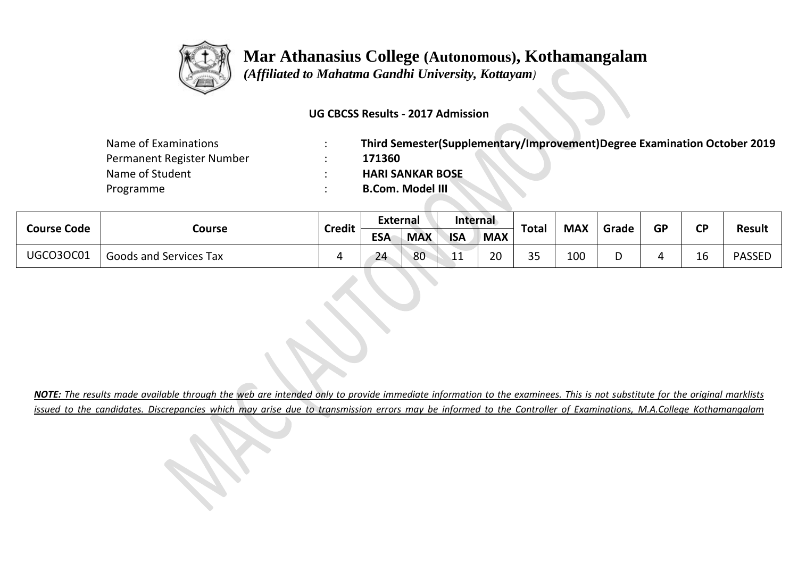

 *(Affiliated to Mahatma Gandhi University, Kottayam)*

### **UG CBCSS Results - 2017 Admission**

| Name of Examinations      | Third Semester(Supplementary/Improvement)Degree Examination October 2019 |
|---------------------------|--------------------------------------------------------------------------|
| Permanent Register Number | 171360                                                                   |
| Name of Student           | <b>HARI SANKAR BOSE</b>                                                  |
| Programme                 | <b>B.Com. Model III</b>                                                  |

| <b>Course Code</b> | Course                        | <b>Credit</b> | <b>External</b> |            | Internal   |            | Total       | <b>MAX</b> | Grade | <b>GP</b> | <b>CD</b>    | <b>Result</b> |
|--------------------|-------------------------------|---------------|-----------------|------------|------------|------------|-------------|------------|-------|-----------|--------------|---------------|
|                    |                               |               | <b>ESA</b>      | <b>MAX</b> | <b>ISA</b> | <b>MAX</b> |             |            |       |           |              |               |
| <b>UGCO3OC01</b>   | <b>Goods and Services Tax</b> |               | 24              | 80         | ىك باش     | 20         | 35<br>ر_ ر_ | 100        |       |           | $\sim$<br>тo | <b>PASSED</b> |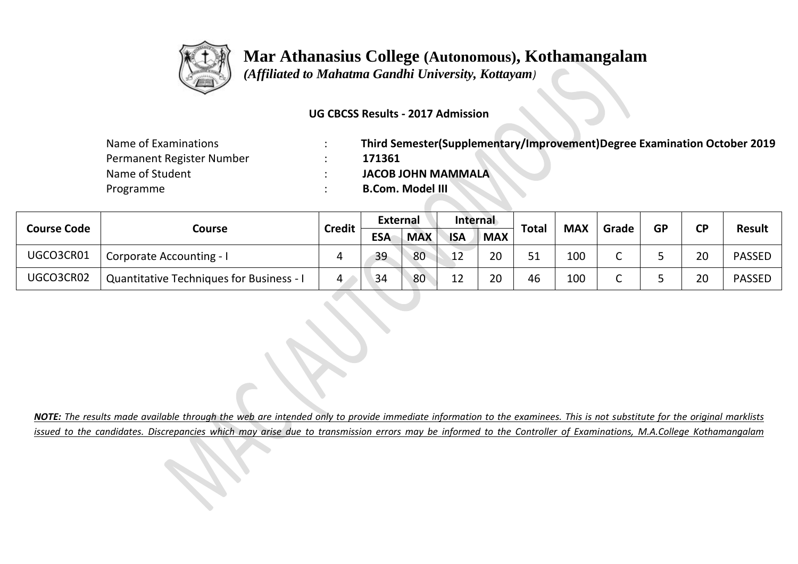

 *(Affiliated to Mahatma Gandhi University, Kottayam)*

### **UG CBCSS Results - 2017 Admission**

| Name of Examinations      | Third Semester(Supplementary/Improvement)Degree Examination October 2019 |
|---------------------------|--------------------------------------------------------------------------|
| Permanent Register Number | 171361                                                                   |
| Name of Student           | <b>JACOB JOHN MAMMALA</b>                                                |
| Programme                 | <b>B.Com. Model III</b>                                                  |

| <b>Course Code</b> |                                                 | <b>Credit</b> | External   |            | Internal   |            |              |            |       | <b>GP</b> | ΓD | <b>Result</b> |
|--------------------|-------------------------------------------------|---------------|------------|------------|------------|------------|--------------|------------|-------|-----------|----|---------------|
|                    | Course                                          |               | <b>ESA</b> | <b>MAX</b> | <b>ISA</b> | <b>MAX</b> | <b>Total</b> | <b>MAX</b> | Grade |           |    |               |
| UGCO3CR01          | <b>Corporate Accounting - I</b>                 | ப             | 39         | 80         | 12         | 20         | 51           | 100        |       |           | 20 | <b>PASSED</b> |
| UGCO3CR02          | <b>Quantitative Techniques for Business - I</b> | 4             | 34         | 80         | ∣ำ<br>ΤT   | 20         | 46           | 100        |       |           | 20 | <b>PASSED</b> |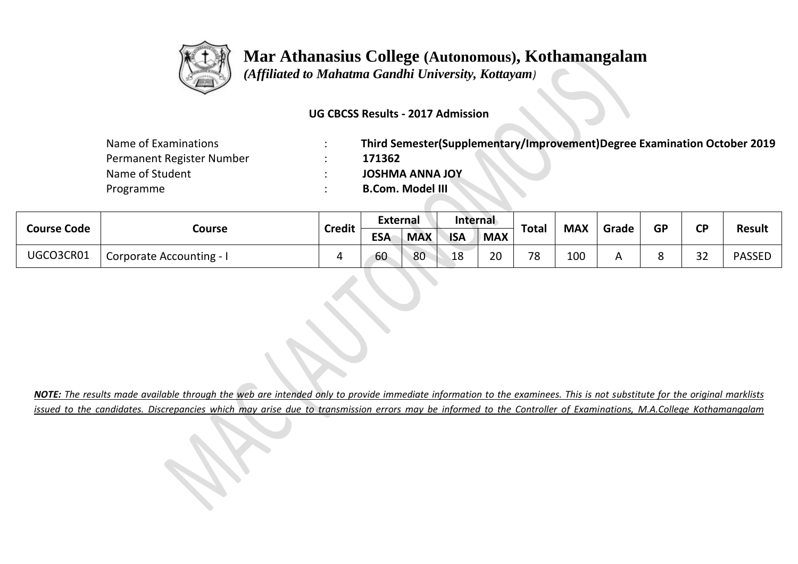

 *(Affiliated to Mahatma Gandhi University, Kottayam)*

### **UG CBCSS Results - 2017 Admission**

| Name of Examinations      | Third Semester(Supplementary/Improvement)Degree Examination October 2019 |
|---------------------------|--------------------------------------------------------------------------|
| Permanent Register Number | 171362                                                                   |
| Name of Student           | <b>JOSHMA ANNA JOY</b>                                                   |
| Programme                 | <b>B.Com. Model III</b>                                                  |

| <b>Course Code</b> |                          | <b>Credit</b> | External   |            | Internal   |            | <b>Total</b> | <b>MAX</b> | Grade | <b>GP</b> | σD      | <b>Result</b> |
|--------------------|--------------------------|---------------|------------|------------|------------|------------|--------------|------------|-------|-----------|---------|---------------|
|                    | Course                   |               | <b>ESA</b> | <b>MAX</b> | <b>ISA</b> | <b>MAX</b> |              |            |       |           |         |               |
| UGCO3CR01          | Corporate Accounting - 1 |               | 60         | 80         | 18         | 20         | 70           | 100        |       |           | າາ<br>◡ | <b>PASSED</b> |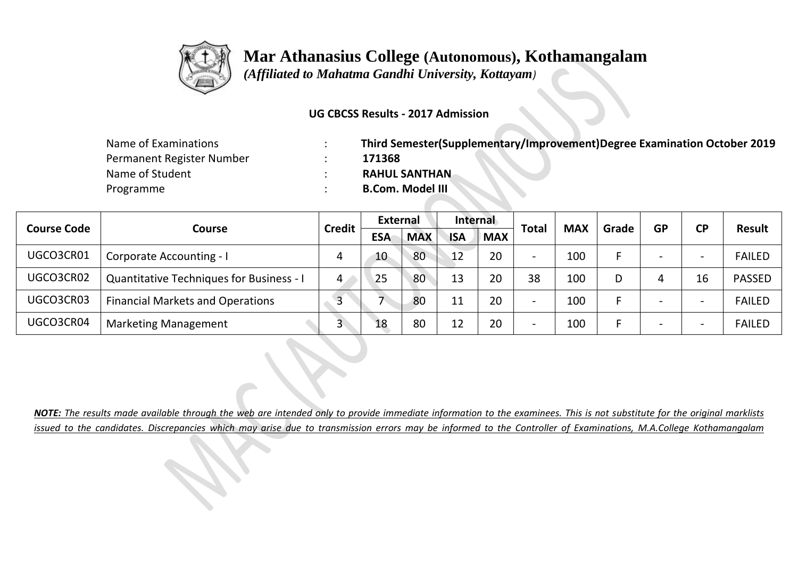

 *(Affiliated to Mahatma Gandhi University, Kottayam)*

### **UG CBCSS Results - 2017 Admission**

| Name of Examinations      | Third Semester(Supplementary/Improvement)Degree Examination October 2019 |
|---------------------------|--------------------------------------------------------------------------|
| Permanent Register Number | 171368                                                                   |
| Name of Student           | <b>RAHUL SANTHAN</b>                                                     |
| Programme                 | <b>B.Com. Model III</b>                                                  |

|                                     |                                                 | <b>Credit</b> | <b>External</b> |            | Internal   |            |                          | <b>MAX</b> | Grade | <b>GP</b> | <b>CP</b> |               |
|-------------------------------------|-------------------------------------------------|---------------|-----------------|------------|------------|------------|--------------------------|------------|-------|-----------|-----------|---------------|
| <b>Course Code</b><br><b>Course</b> |                                                 |               | <b>ESA</b>      | <b>MAX</b> | <b>ISA</b> | <b>MAX</b> | <b>Total</b>             |            |       |           |           | <b>Result</b> |
| UGCO3CR01                           | <b>Corporate Accounting - I</b>                 |               | 10              | 80         | 12         | 20         | $\overline{\phantom{0}}$ | 100        |       |           |           | <b>FAILED</b> |
| UGCO3CR02                           | <b>Quantitative Techniques for Business - I</b> | 4             | 25              | 80         | 13         | 20         | 38                       | 100        |       |           | 16        | <b>PASSED</b> |
| UGCO3CR03                           | <b>Financial Markets and Operations</b>         |               |                 | 80         | 11         | 20         | $\overline{\phantom{0}}$ | 100        |       |           |           | <b>FAILED</b> |
| UGCO3CR04                           | <b>Marketing Management</b>                     |               | 18              | 80         | 12         | 20         | $\overline{\phantom{a}}$ | 100        |       |           |           | <b>FAILED</b> |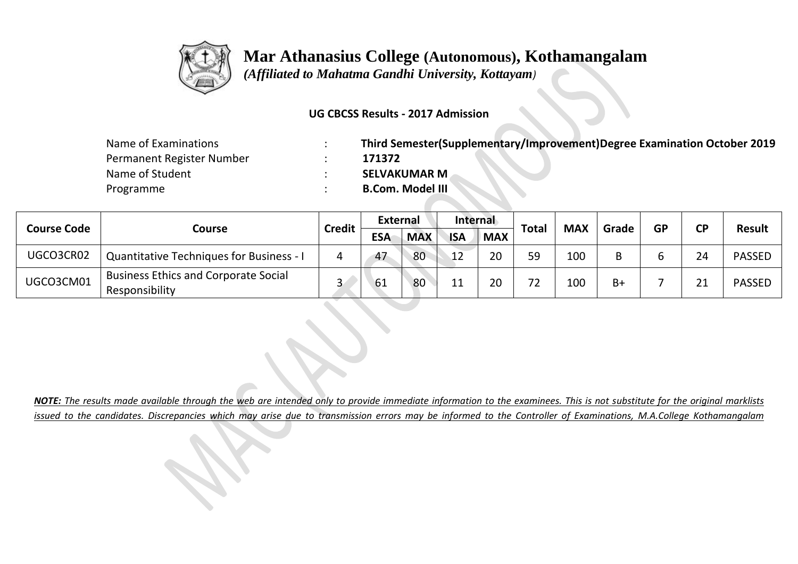

 *(Affiliated to Mahatma Gandhi University, Kottayam)*

### **UG CBCSS Results - 2017 Admission**

| Name of Examinations      | Third Semester(Supplementary/Improvement)Degree Examination October 2019 |
|---------------------------|--------------------------------------------------------------------------|
| Permanent Register Number | 171372                                                                   |
| Name of Student           | <b>SELVAKUMAR M</b>                                                      |
| Programme                 | <b>B.Com. Model III</b>                                                  |

|                    |                                                               | <b>Credit</b> | <b>External</b> |            | Internal   |            |              | <b>MAX</b> | Grade |    | ΓD | <b>Result</b> |
|--------------------|---------------------------------------------------------------|---------------|-----------------|------------|------------|------------|--------------|------------|-------|----|----|---------------|
| <b>Course Code</b> | Course                                                        |               | <b>ESA</b>      | <b>MAX</b> | <b>ISA</b> | <b>MAX</b> | <b>Total</b> |            |       | GP |    |               |
| UGCO3CR02          | <b>Quantitative Techniques for Business - I</b>               | Д             | 47              | 80         | 12         | 20         | 59           | 100        |       |    | 24 | <b>PASSED</b> |
| UGCO3CM01          | <b>Business Ethics and Corporate Social</b><br>Responsibility |               | 61              | 80         | 11         | 20         | フつ           | 100        | $B+$  |    | 21 | <b>PASSED</b> |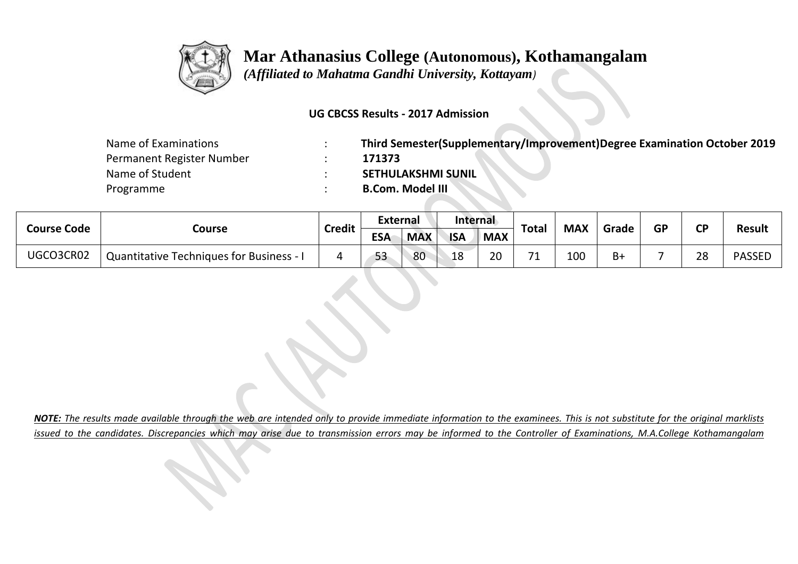

 *(Affiliated to Mahatma Gandhi University, Kottayam)*

### **UG CBCSS Results - 2017 Admission**

| Name of Examinations      | Third Semester(Supplementary/Improvement)Degree Examination October 2019 |
|---------------------------|--------------------------------------------------------------------------|
| Permanent Register Number | 171373                                                                   |
| Name of Student           | <b>SETHULAKSHMI SUNIL</b>                                                |
| Programme                 | <b>B.Com. Model III</b>                                                  |

| <b>Course Code</b> |                                                 | <b>Credit</b> | <b>External</b> |            | Internal   |            |                          | <b>MAX</b> |       | <b>GP</b> | ΓD |               |
|--------------------|-------------------------------------------------|---------------|-----------------|------------|------------|------------|--------------------------|------------|-------|-----------|----|---------------|
|                    | Course                                          |               | <b>ESA</b>      | <b>MAX</b> | <b>ISA</b> | <b>MAX</b> | Total                    |            | Grade |           |    | <b>Result</b> |
| UGCO3CR02          | <b>Quantitative Techniques for Business - I</b> |               | 53              | 80         | 18         | 20         | $\overline{\phantom{a}}$ | 100        | B+    |           | 28 | <b>PASSED</b> |